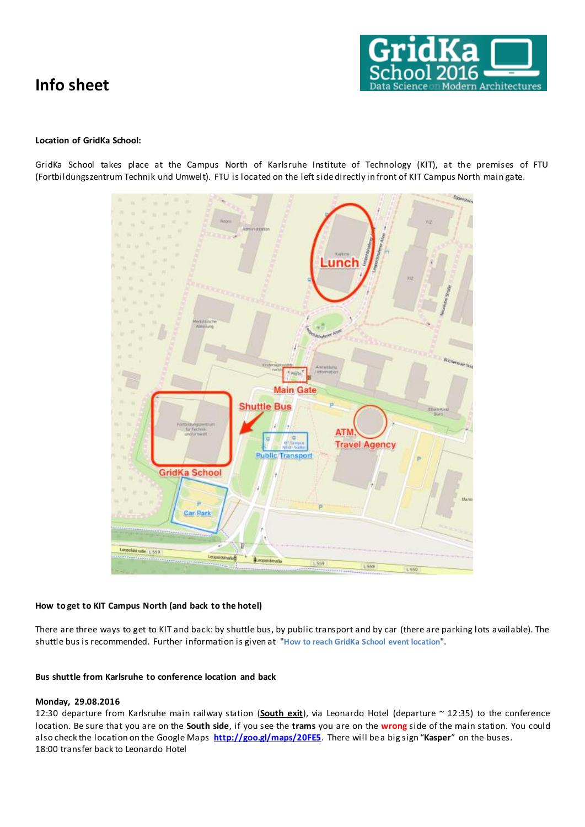

## **Location of GridKa School:**

GridKa School takes place at the Campus North of Karlsruhe Institute of Technology (KIT), at the premises of FTU (Fortbildungszentrum Technik und Umwelt). FTU is located on the left side directly in front of KIT Campus North main gate.



## **How to get to KIT Campus North (and back to the hotel)**

There are three ways to get to KIT and back: by shuttle bus, by public transport and by car (there are parking lots available). The shuttle bus is recommended. Further information is given at "**[How to reach GridKa School event location](https://indico.scc.kit.edu/indico/event/196/page/5)**".

## **Bus shuttle from Karlsruhe to conference location and back**

## **Monday, 29.08.2016**

12:30 departure from Karlsruhe main railway station (**South exit**), via Leonardo Hotel (departure ~ 12:35) to the conference location. Be sure that you are on the **South side**, if you see the **trams** you are on the **wrong** side of the main station. You could also check the location on the Google Maps **<http://goo.gl/maps/20FE5>**. There will be a big sign "**Kasper**" on the buses. 18:00 transfer back to Leonardo Hotel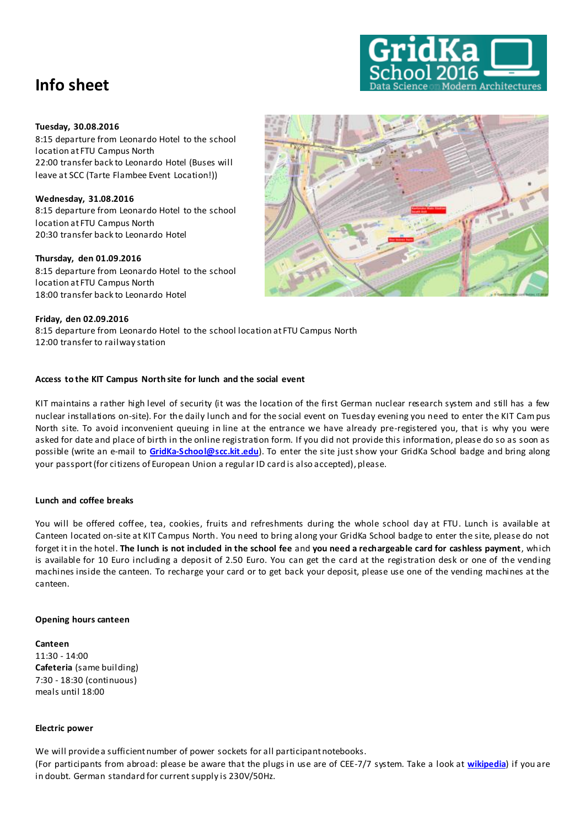

## **Tuesday, 30.08.2016**

8:15 departure from Leonardo Hotel to the school location at FTU Campus North 22:00 transfer back to Leonardo Hotel (Buses will leave at SCC (Tarte Flambee Event Location!))

**Wednesday, 31.08.2016** 8:15 departure from Leonardo Hotel to the school location at FTU Campus North 20:30 transfer back to Leonardo Hotel

## **Thursday, den 01.09.2016**

8:15 departure from Leonardo Hotel to the school location at FTU Campus North 18:00 transfer back to Leonardo Hotel

## **Friday, den 02.09.2016**

8:15 departure from Leonardo Hotel to the school location at FTU Campus North 12:00 transfer to railway station

## **Access to the KIT Campus North site for lunch and the social event**

KIT maintains a rather high level of security (it was the location of the first German nuclear research system and still has a few nuclear installations on-site). For the daily lunch and for the social event on Tuesday evening you need to enter the KIT Cam pus North site. To avoid inconvenient queuing in line at the entrance we have already pre-registered you, that is why you were asked for date and place of birth in the online registration form. If you did not provide this information, please do so as soon as possible (write an e-mail to **[GridKa-School@scc.kit .edu](mailto:GridKa-School@scc.kit.edu)**). To enter the site just show your GridKa School badge and bring along your passport (for citizens of European Union a regular ID card is also accepted), please.

## **Lunch and coffee breaks**

You will be offered coffee, tea, cookies, fruits and refreshments during the whole school day at FTU. Lunch is available at Canteen located on-site at KIT Campus North. You need to bring along your GridKa School badge to enter the site, please do not forget it in the hotel. **The lunch is not included in the school fee** and **you need a rechargeable card for cashless payment**, which is available for 10 Euro including a deposit of 2.50 Euro. You can get the card at the registration desk or one of the vending machines inside the canteen. To recharge your card or to get back your deposit, please use one of the vending machines at the canteen.

## **Opening hours canteen**

**Canteen** 11:30 - 14:00 **Cafeteria** (same building) 7:30 - 18:30 (continuous) meals until 18:00

#### **Electric power**

We will provide a sufficient number of power sockets for all participant notebooks.

(For participants from abroad: please be aware that the plugs in use are of CEE-7/7 system. Take a look at **[wikipedia](http://en.wikipedia.org/wiki/Mains_power_systems)**) if you are in doubt. German standard for current supply is 230V/50Hz.

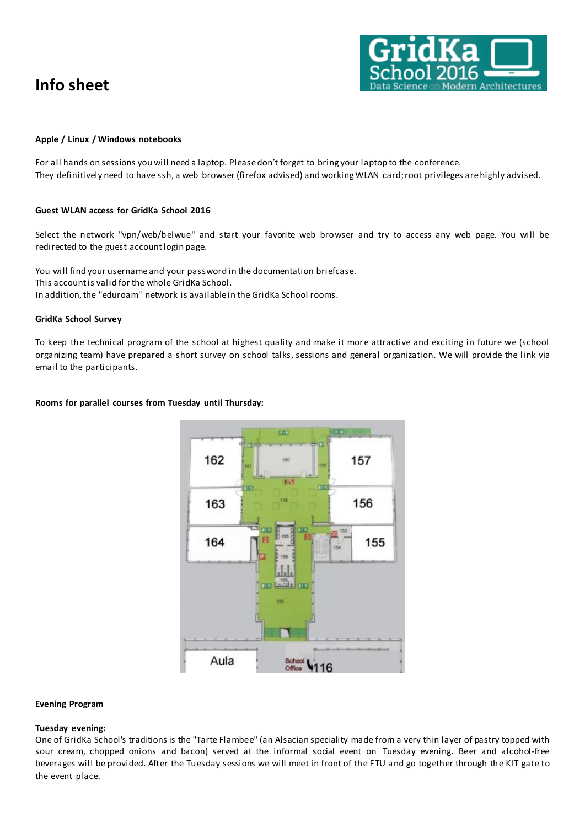

#### **Apple / Linux / Windows notebooks**

For all hands on sessions you will need a laptop. Please don't forget to bring your laptop to the conference. They definitively need to have ssh, a web browser (firefox advised) and working WLAN card; root privileges are highly advised.

#### **Guest WLAN access for GridKa School 2016**

Select the network "vpn/web/belwue" and start your favorite web browser and try to access any web page. You will be redirected to the guest account login page.

You will find your username and your password in the documentation briefcase. This account is valid for the whole GridKa School. In addition, the "eduroam" network is available in the GridKa School rooms.

#### **GridKa School Survey**

To keep the technical program of the school at highest quality and make it more attractive and exciting in future we (school organizing team) have prepared a short survey on school talks, sessions and general organization. We will provide the link via email to the participants.

## **Rooms for parallel courses from Tuesday until Thursday:**



#### **Evening Program**

#### **Tuesday evening:**

One of GridKa School's traditions is the "Tarte Flambee" (an Alsacian speciality made from a very thin layer of pastry topped with sour cream, chopped onions and bacon) served at the informal social event on Tuesday evening. Beer and alcohol-free beverages will be provided. After the Tuesday sessions we will meet in front of the FTU and go together through the KIT gate to the event place.